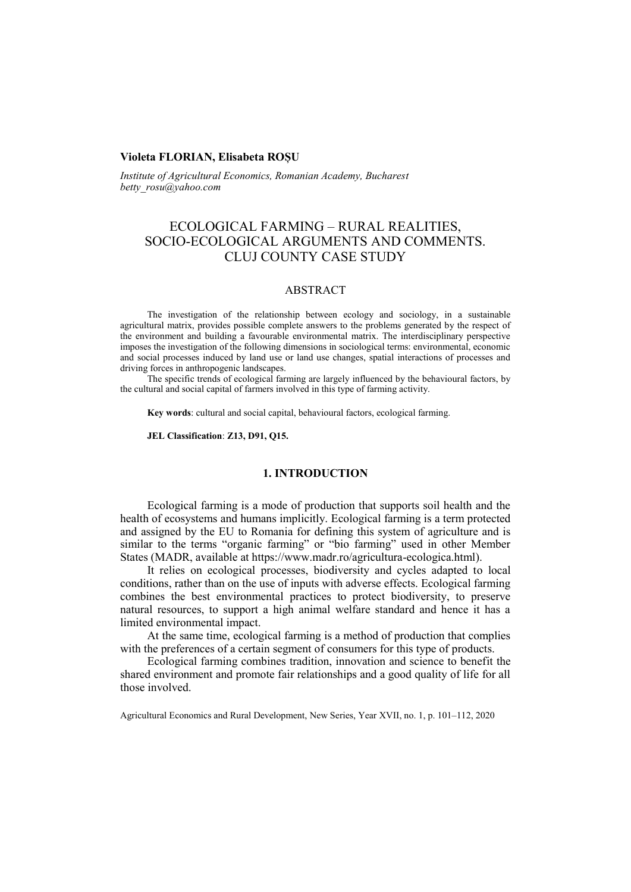#### **Violeta FLORIAN, Elisabeta ROȘU**

*Institute of Agricultural Economics, Romanian Academy, Bucharest betty\_rosu@yahoo.com*

# ECOLOGICAL FARMING – RURAL REALITIES, SOCIO-ECOLOGICAL ARGUMENTS AND COMMENTS. CLUJ COUNTY CASE STUDY

## ABSTRACT

The investigation of the relationship between ecology and sociology, in a sustainable agricultural matrix, provides possible complete answers to the problems generated by the respect of the environment and building a favourable environmental matrix. The interdisciplinary perspective imposes the investigation of the following dimensions in sociological terms: environmental, economic and social processes induced by land use or land use changes, spatial interactions of processes and driving forces in anthropogenic landscapes.

The specific trends of ecological farming are largely influenced by the behavioural factors, by the cultural and social capital of farmers involved in this type of farming activity.

**Key words**: cultural and social capital, behavioural factors, ecological farming.

**JEL Classification**: **Z13, D91, Q15.**

## **1. INTRODUCTION**

Ecological farming is a mode of production that supports soil health and the health of ecosystems and humans implicitly. Ecological farming is a term protected and assigned by the EU to Romania for defining this system of agriculture and is similar to the terms "organic farming" or "bio farming" used in other Member States (MADR, available at https://www.madr.ro/agricultura-ecologica.html).

It relies on ecological processes, biodiversity and cycles adapted to local conditions, rather than on the use of inputs with adverse effects. Ecological farming combines the best environmental practices to protect biodiversity, to preserve natural resources, to support a high animal welfare standard and hence it has a limited environmental impact.

At the same time, ecological farming is a method of production that complies with the preferences of a certain segment of consumers for this type of products.

Ecological farming combines tradition, innovation and science to benefit the shared environment and promote fair relationships and a good quality of life for all those involved.

Agricultural Economics and Rural Development, New Series, Year XVII, no. 1, p. 101–112, 2020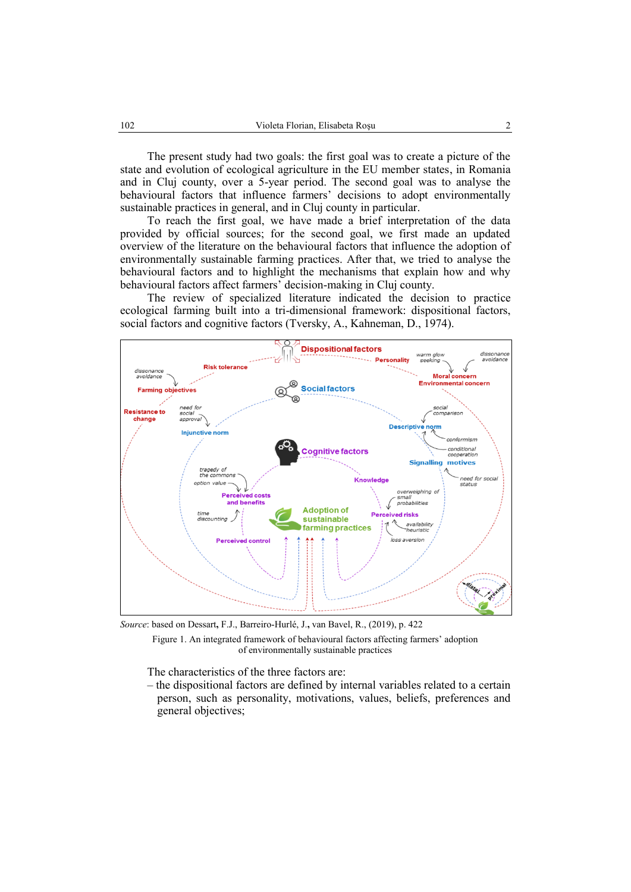The present study had two goals: the first goal was to create a picture of the state and evolution of ecological agriculture in the EU member states, in Romania and in Cluj county, over a 5-year period. The second goal was to analyse the behavioural factors that influence farmers' decisions to adopt environmentally sustainable practices in general, and in Cluj county in particular.

To reach the first goal, we have made a brief interpretation of the data provided by official sources; for the second goal, we first made an updated overview of the literature on the behavioural factors that influence the adoption of environmentally sustainable farming practices. After that, we tried to analyse the behavioural factors and to highlight the mechanisms that explain how and why behavioural factors affect farmers' decision-making in Cluj county.

The review of specialized literature indicated the decision to practice ecological farming built into a tri-dimensional framework: dispositional factors, social factors and cognitive factors (Tversky, A., Kahneman, D., 1974).



*Source*: based on [Dessart](javascript:;)**,** F.J.[, Barreiro-](javascript:;)Hurlé, J.**,** van [Bavel,](javascript:;) R., (2019), p. 422

The characteristics of the three factors are:

– the dispositional factors are defined by internal variables related to a certain person, such as personality, motivations, values, beliefs, preferences and general objectives;

Figure 1. An integrated framework of behavioural factors affecting farmers' adoption of environmentally sustainable practices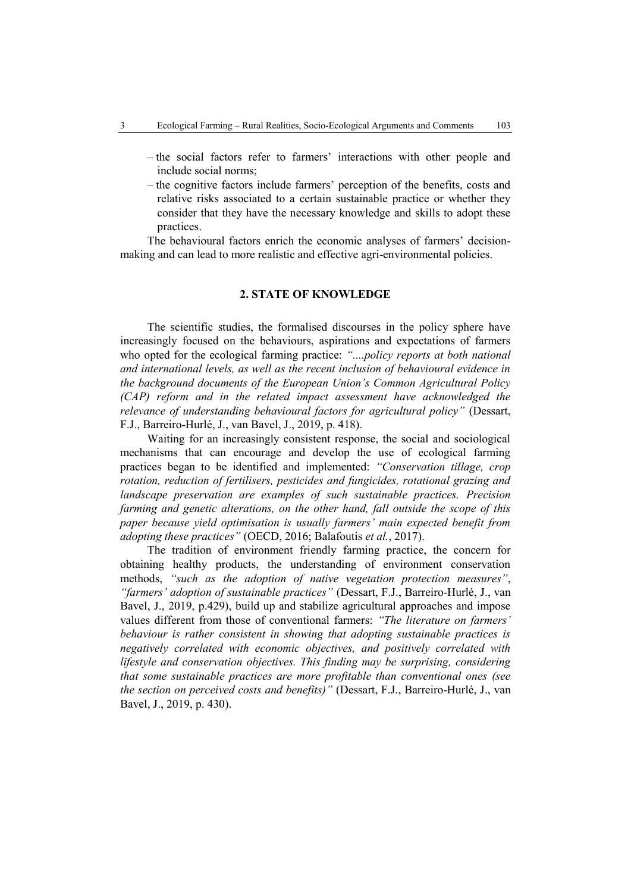- the social factors refer to farmers' interactions with other people and include social norms;
- the cognitive factors include farmers' perception of the benefits, costs and relative risks associated to a certain sustainable practice or whether they consider that they have the necessary knowledge and skills to adopt these practices.

The behavioural factors enrich the economic analyses of farmers' decisionmaking and can lead to more realistic and effective agri-environmental policies.

#### **2. STATE OF KNOWLEDGE**

The scientific studies, the formalised discourses in the policy sphere have increasingly focused on the behaviours, aspirations and expectations of farmers who opted for the ecological farming practice: *"....policy reports at both national and international levels, as well as the recent inclusion of behavioural evidence in the background documents of the European Union's Common Agricultural Policy (CAP) reform and in the related impact assessment have acknowledged the relevance of understanding behavioural factors for agricultural policy"* [\(Dessart,](javascript:;) F.J., [Barreiro-](javascript:;)Hurlé, J., van [Bavel,](javascript:;) J., 2019, p. 418).

Waiting for an increasingly consistent response, the social and sociological mechanisms that can encourage and develop the use of ecological farming practices began to be identified and implemented: *"Conservation tillage, crop rotation, reduction of fertilisers, pesticides and fungicides, rotational grazing and landscape preservation are examples of such sustainable practices. Precision farming and genetic alterations, on the other hand, fall outside the scope of this paper because yield optimisation is usually farmers' main expected benefit from adopting these practices"* (OECD, 2016; Balafoutis *et al.*, 2017).

The tradition of environment friendly farming practice, the concern for obtaining healthy products, the understanding of environment conservation methods, *"such as the adoption of native vegetation protection measures"*, *"farmers' adoption of sustainable practices"* [\(Dessart,](javascript:;) F.J., [Barreiro-](javascript:;)Hurlé, J., [van](javascript:;) [Bavel,](javascript:;) J., 2019, p.429), build up and stabilize agricultural approaches and impose values different from those of conventional farmers: *"The literature on farmers' behaviour is rather consistent in showing that adopting sustainable practices is negatively correlated with economic objectives, and positively correlated with lifestyle and conservation objectives. This finding may be surprising, considering that some sustainable practices are more profitable than conventional ones (see the section on perceived costs and benefits)"* [\(Dessart,](javascript:;) F.J., [Barreiro-](javascript:;)Hurlé, J., [van](javascript:;) [Bavel,](javascript:;) J., 2019, p. 430).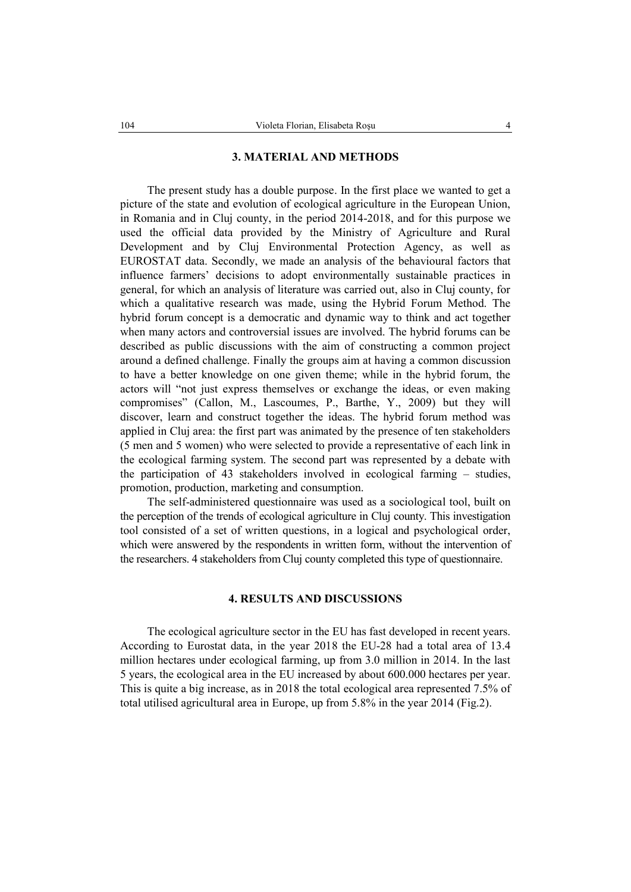#### **3. MATERIAL AND METHODS**

The present study has a double purpose. In the first place we wanted to get a picture of the state and evolution of ecological agriculture in the European Union, in Romania and in Cluj county, in the period 2014-2018, and for this purpose we used the official data provided by the Ministry of Agriculture and Rural Development and by Cluj Environmental Protection Agency, as well as EUROSTAT data. Secondly, we made an analysis of the behavioural factors that influence farmers' decisions to adopt environmentally sustainable practices in general, for which an analysis of literature was carried out, also in Cluj county, for which a qualitative research was made, using the Hybrid Forum Method. The hybrid forum concept is a democratic and dynamic way to think and act together when many actors and controversial issues are involved. The hybrid forums can be described as public discussions with the aim of constructing a common project around a defined challenge. Finally the groups aim at having a common discussion to have a better knowledge on one given theme; while in the hybrid forum, the actors will "not just express themselves or exchange the ideas, or even making compromises" (Callon, M., Lascoumes, P., Barthe, Y., 2009) but they will discover, learn and construct together the ideas. The hybrid forum method was applied in Cluj area: the first part was animated by the presence of ten stakeholders (5 men and 5 women) who were selected to provide a representative of each link in the ecological farming system. The second part was represented by a debate with the participation of 43 stakeholders involved in ecological farming – studies, promotion, production, marketing and consumption.

The self-administered questionnaire was used as a sociological tool, built on the perception of the trends of ecological agriculture in Cluj county. This investigation tool consisted of a set of written questions, in a logical and psychological order, which were answered by the respondents in written form, without the intervention of the researchers. 4 stakeholders from Cluj county completed this type of questionnaire.

### **4. RESULTS AND DISCUSSIONS**

The ecological agriculture sector in the EU has fast developed in recent years. According to Eurostat data, in the year 2018 the EU-28 had a total area of 13.4 million hectares under ecological farming, up from 3.0 million in 2014. In the last 5 years, the ecological area in the EU increased by about 600.000 hectares per year. This is quite a big increase, as in 2018 the total ecological area represented 7.5% of total utilised agricultural area in Europe, up from 5.8% in the year 2014 (Fig.2).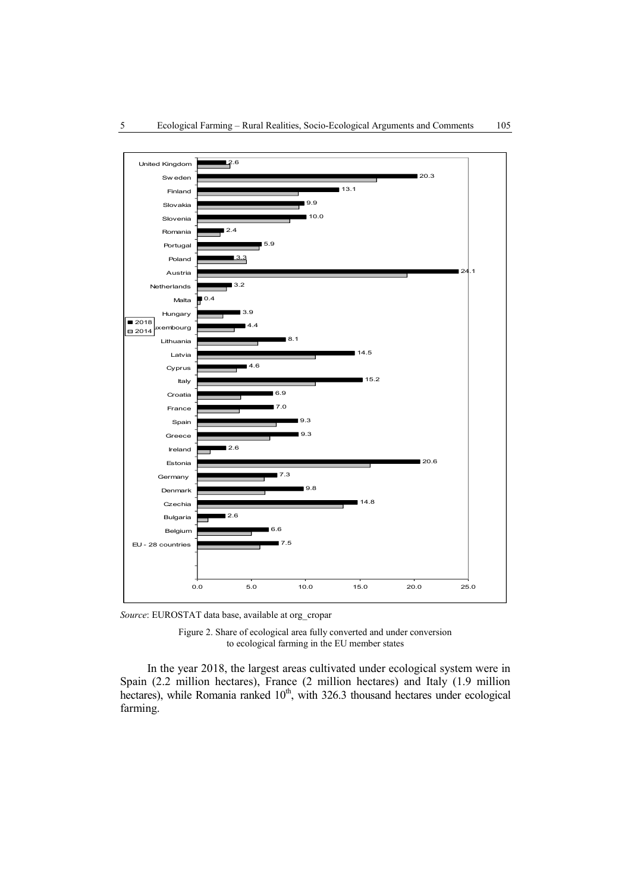

*Source*: EUROSTAT data base, available at org\_cropar

Figure 2. Share of ecological area fully converted and under conversion to ecological farming in the EU member states

In the year 2018, the largest areas cultivated under ecological system were in Spain (2.2 million hectares), France (2 million hectares) and Italy (1.9 million hectares), while Romania ranked  $10^{th}$ , with 326.3 thousand hectares under ecological farming.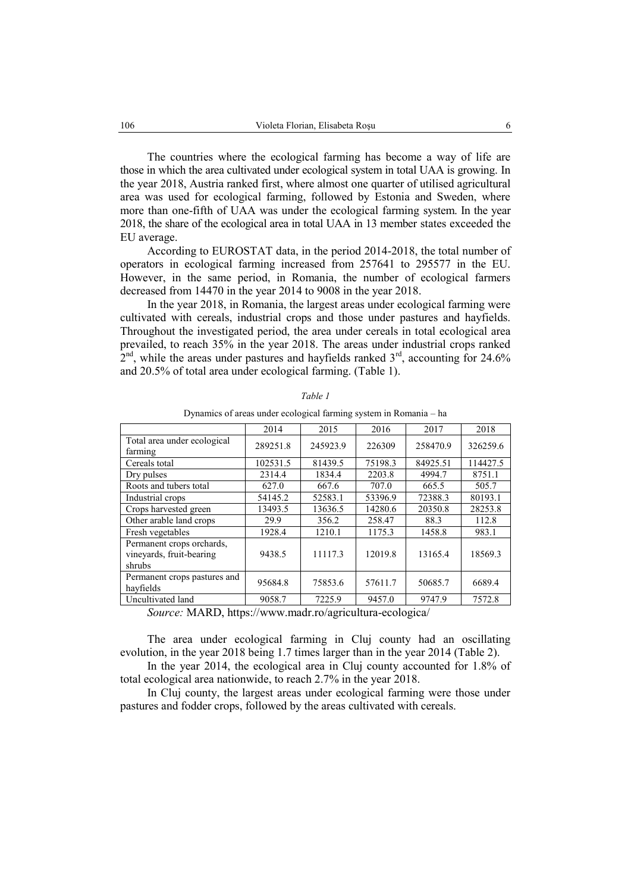The countries where the ecological farming has become a way of life are those in which the area cultivated under ecological system in total UAA is growing. In the year 2018, Austria ranked first, where almost one quarter of utilised agricultural area was used for ecological farming, followed by Estonia and Sweden, where more than one-fifth of UAA was under the ecological farming system. In the year 2018, the share of the ecological area in total UAA in 13 member states exceeded the EU average.

According to EUROSTAT data, in the period 2014-2018, the total number of operators in ecological farming increased from 257641 to 295577 in the EU. However, in the same period, in Romania, the number of ecological farmers decreased from 14470 in the year 2014 to 9008 in the year 2018.

In the year 2018, in Romania, the largest areas under ecological farming were cultivated with cereals, industrial crops and those under pastures and hayfields. Throughout the investigated period, the area under cereals in total ecological area prevailed, to reach 35% in the year 2018. The areas under industrial crops ranked  $2<sup>nd</sup>$ , while the areas under pastures and hayfields ranked  $3<sup>rd</sup>$ , accounting for 24.6% and 20.5% of total area under ecological farming. (Table 1).

|                                                                 | 2014     | 2015     | 2016                | 2017     | 2018     |  |  |  |  |
|-----------------------------------------------------------------|----------|----------|---------------------|----------|----------|--|--|--|--|
| Total area under ecological<br>farming                          | 289251.8 | 245923.9 | 226309              | 258470.9 | 326259.6 |  |  |  |  |
| Cereals total                                                   | 102531.5 | 81439.5  | 75198.3<br>84925.51 |          | 114427.5 |  |  |  |  |
| Dry pulses                                                      | 2314.4   | 1834.4   | 2203.8              | 4994.7   | 8751.1   |  |  |  |  |
| Roots and tubers total                                          | 627.0    | 667.6    | 707.0               | 665.5    | 505.7    |  |  |  |  |
| Industrial crops                                                | 54145.2  | 52583.1  | 53396.9             | 72388.3  | 80193.1  |  |  |  |  |
| Crops harvested green                                           | 13493.5  | 13636.5  | 14280.6             | 20350.8  | 28253.8  |  |  |  |  |
| Other arable land crops                                         | 29.9     | 356.2    | 258.47              | 88.3     | 112.8    |  |  |  |  |
| Fresh vegetables                                                | 1928.4   | 1210.1   | 1175.3              | 1458.8   | 983.1    |  |  |  |  |
| Permanent crops orchards,<br>vineyards, fruit-bearing<br>shrubs | 9438.5   | 11117.3  | 12019.8             | 13165.4  | 18569.3  |  |  |  |  |
| Permanent crops pastures and<br>hayfields                       | 95684.8  | 75853.6  | 57611.7             | 50685.7  | 6689.4   |  |  |  |  |
| Uncultivated land                                               | 9058.7   | 7225.9   | 9457.0              | 9747.9   | 7572.8   |  |  |  |  |

*Table 1*

Dynamics of areas under ecological farming system in Romania – ha

*Source:* MARD, https://www.madr.ro/agricultura-ecologica/

The area under ecological farming in Cluj county had an oscillating evolution, in the year 2018 being 1.7 times larger than in the year 2014 (Table 2).

In the year 2014, the ecological area in Cluj county accounted for 1.8% of total ecological area nationwide, to reach 2.7% in the year 2018.

In Cluj county, the largest areas under ecological farming were those under pastures and fodder crops, followed by the areas cultivated with cereals.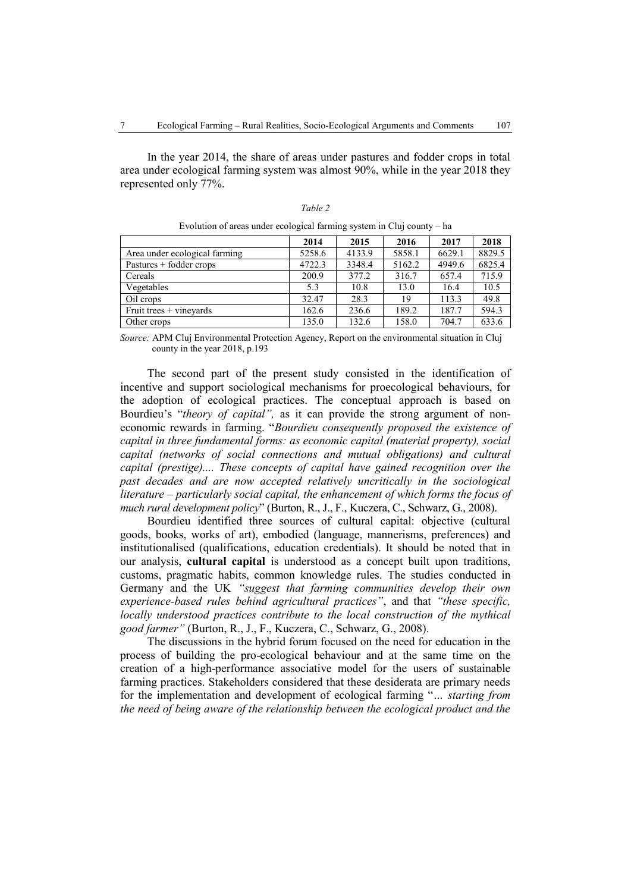In the year 2014, the share of areas under pastures and fodder crops in total area under ecological farming system was almost 90%, while in the year 2018 they represented only 77%.

|--|--|

|                               | 2014   | 2015   | 2016   | 2017   | 2018   |
|-------------------------------|--------|--------|--------|--------|--------|
| Area under ecological farming | 5258.6 | 4133.9 | 5858.1 | 6629.1 | 8829.5 |
| Pastures $+$ fodder crops     | 4722.3 | 3348.4 | 5162.2 | 4949.6 | 6825.4 |
| Cereals                       | 200.9  | 377.2  | 316.7  | 657.4  | 715.9  |
| Vegetables                    | 5.3    | 10.8   | 13.0   | 16.4   | 10.5   |
| Oil crops                     | 32.47  | 28.3   | 19     | 113.3  | 49.8   |
| Fruit trees $+$ vineyards     | 162.6  | 236.6  | 189.2  | 187.7  | 594.3  |
| Other crops                   | 135.0  | 132.6  | 158.0  | 704.7  | 633.6  |

Evolution of areas under ecological farming system in Cluj county – ha

*Source:* APM Cluj Environmental Protection Agency, Report on the environmental situation in Cluj county in the year 2018, p.193

The second part of the present study consisted in the identification of incentive and support sociological mechanisms for proecological behaviours, for the adoption of ecological practices. The conceptual approach is based on Bourdieu's "*theory of capital",* as it can provide the strong argument of noneconomic rewards in farming. "*Bourdieu consequently proposed the existence of capital in three fundamental forms: as economic capital (material property), social capital (networks of social connections and mutual obligations) and cultural capital (prestige).... These concepts of capital have gained recognition over the past decades and are now accepted relatively uncritically in the sociological literature – particularly social capital, the enhancement of which forms the focus of much rural development policy*" [\(Burton,](https://onlinelibrary.wiley.com/action/doSearch?ContribAuthorStored=Burton%2C+Rob+JF) R., J., F., [Kuczera,](https://onlinelibrary.wiley.com/action/doSearch?ContribAuthorStored=Kuczera%2C+Carmen) C., [Schwarz,](https://onlinelibrary.wiley.com/action/doSearch?ContribAuthorStored=Schwarz%2C+Gerald) G., 2008).

Bourdieu identified three sources of cultural capital: objective (cultural goods, books, works of art), embodied (language, mannerisms, preferences) and institutionalised (qualifications, education credentials). It should be noted that in our analysis, **cultural capital** is understood as a concept built upon traditions, customs, pragmatic habits, common knowledge rules. The studies conducted in Germany and the UK *"suggest that farming communities develop their own experience-based rules behind agricultural practices"*, and that *"these specific, locally understood practices contribute to the local construction of the mythical good farmer"* [\(Burton,](https://onlinelibrary.wiley.com/action/doSearch?ContribAuthorStored=Burton%2C+Rob+JF) R., J., F., [Kuczera,](https://onlinelibrary.wiley.com/action/doSearch?ContribAuthorStored=Kuczera%2C+Carmen) C., [Schwarz,](https://onlinelibrary.wiley.com/action/doSearch?ContribAuthorStored=Schwarz%2C+Gerald) G., 2008).

The discussions in the hybrid forum focused on the need for education in the process of building the pro-ecological behaviour and at the same time on the creation of a high-performance associative model for the users of sustainable farming practices. Stakeholders considered that these desiderata are primary needs for the implementation and development of ecological farming "*… starting from the need of being aware of the relationship between the ecological product and the*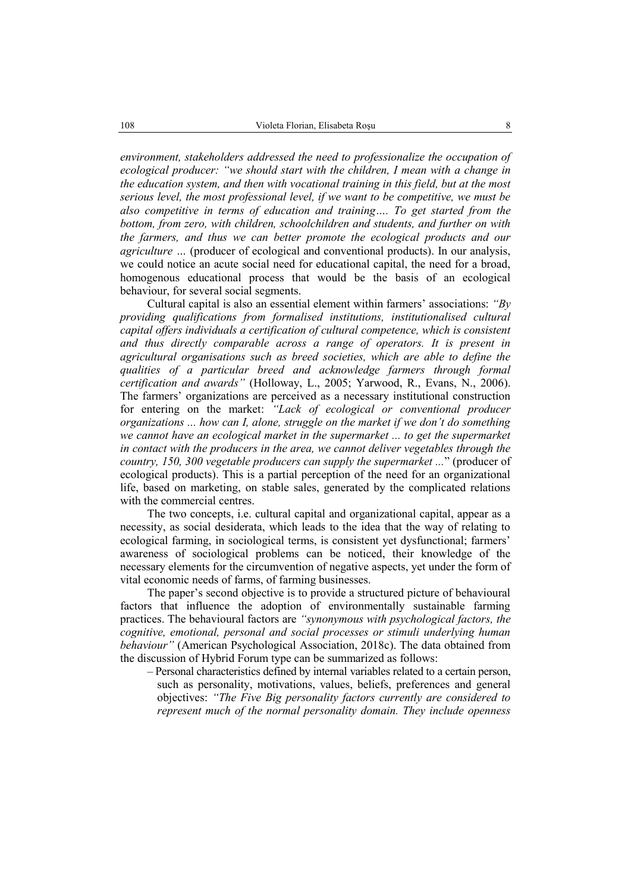*environment, stakeholders addressed the need to professionalize the occupation of ecological producer:* "we should start with the children, I mean with a change in *the education system, and then with vocational training in this field, but at the most serious level, the most professional level, if we want to be competitive, we must be also competitive in terms of education and training…. To get started from the bottom, from zero, with children, schoolchildren and students, and further on with the farmers, and thus we can better promote the ecological products and our agriculture …* (producer of ecological and conventional products). In our analysis, we could notice an acute social need for educational capital, the need for a broad, homogenous educational process that would be the basis of an ecological behaviour, for several social segments.

Cultural capital is also an essential element within farmers' associations: *"By providing qualifications from formalised institutions, institutionalised cultural capital offers individuals a certification of cultural competence, which is consistent*  and thus directly comparable across a range of operators. It is present in *agricultural organisations such as breed societies, which are able to define the qualities of a particular breed and acknowledge farmers through formal certification and awards"* [\(Holloway, L., 2005;](https://onlinelibrary.wiley.com/doi/full/10.1111/j.1467-9523.2008.00452.x#b45) [Yarwood, R., Evans, N., 2006\)](https://onlinelibrary.wiley.com/doi/full/10.1111/j.1467-9523.2008.00452.x#b78). The farmers' organizations are perceived as a necessary institutional construction for entering on the market: *"Lack of ecological or conventional producer organizations ... how can I, alone, struggle on the market if we don't do something we cannot have an ecological market in the supermarket ... to get the supermarket in contact with the producers in the area, we cannot deliver vegetables through the country, 150, 300 vegetable producers can supply the supermarket ...*" (producer of ecological products). This is a partial perception of the need for an organizational life, based on marketing, on stable sales, generated by the complicated relations with the commercial centres.

The two concepts, i.e. cultural capital and organizational capital, appear as a necessity, as social desiderata, which leads to the idea that the way of relating to ecological farming, in sociological terms, is consistent yet dysfunctional; farmers' awareness of sociological problems can be noticed, their knowledge of the necessary elements for the circumvention of negative aspects, yet under the form of vital economic needs of farms, of farming businesses.

The paper's second objective is to provide a structured picture of behavioural factors that influence the adoption of environmentally sustainable farming practices. The behavioural factors are *"synonymous with psychological factors, the cognitive, emotional, personal and social processes or stimuli underlying human behaviour"* (American Psychological Association, 2018c). The data obtained from the discussion of Hybrid Forum type can be summarized as follows:

– Personal characteristics defined by internal variables related to a certain person, such as personality, motivations, values, beliefs, preferences and general objectives: *"The Five Big personality factors currently are considered to represent much of the normal personality domain. They include openness*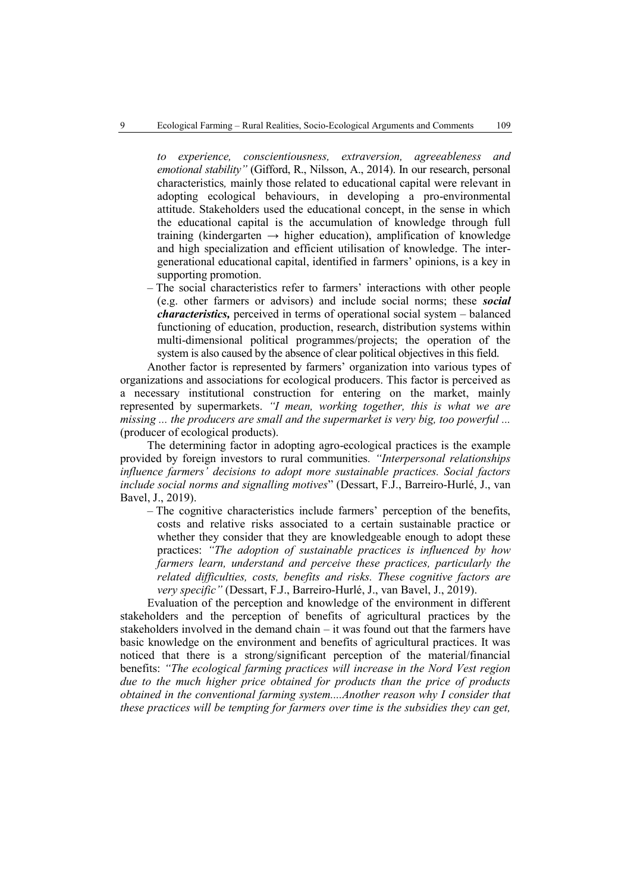*to experience, conscientiousness, extraversion, agreeableness and emotional stability"* (Gifford, R., Nilsson, A., 2014). In our research, personal characteristics*,* mainly those related to educational capital were relevant in adopting ecological behaviours, in developing a pro-environmental attitude. Stakeholders used the educational concept, in the sense in which the educational capital is the accumulation of knowledge through full training (kindergarten  $\rightarrow$  higher education), amplification of knowledge and high specialization and efficient utilisation of knowledge. The intergenerational educational capital, identified in farmers' opinions, is a key in supporting promotion.

– The social characteristics refer to farmers' interactions with other people (e.g. other farmers or advisors) and include social norms; these *social characteristics,* perceived in terms of operational social system – balanced functioning of education, production, research, distribution systems within multi-dimensional political programmes/projects; the operation of the system is also caused by the absence of clear political objectives in this field.

Another factor is represented by farmers' organization into various types of organizations and associations for ecological producers. This factor is perceived as a necessary institutional construction for entering on the market, mainly represented by supermarkets. *"I mean, working together, this is what we are missing ... the producers are small and the supermarket is very big, too powerful ...* (producer of ecological products).

The determining factor in adopting agro-ecological practices is the example provided by foreign investors to rural communities*. "Interpersonal relationships influence farmers' decisions to adopt more sustainable practices. Social factors include social norms and signalling motives*" ([Dessart,](javascript:;) F.J., [Barreiro-](javascript:;)Hurlé, J., [van](javascript:;) [Bavel,](javascript:;) J., 2019).

– The cognitive characteristics include farmers' perception of the benefits, costs and relative risks associated to a certain sustainable practice or whether they consider that they are knowledgeable enough to adopt these practices: *"The adoption of sustainable practices is influenced by how farmers learn, understand and perceive these practices, particularly the related difficulties, costs, benefits and risks. These cognitive factors are very specific"* [\(Dessart,](javascript:;) F.J., [Barreiro-](javascript:;)Hurlé, J., van [Bavel,](javascript:;) J., 2019).

Evaluation of the perception and knowledge of the environment in different stakeholders and the perception of benefits of agricultural practices by the stakeholders involved in the demand chain – it was found out that the farmers have basic knowledge on the environment and benefits of agricultural practices. It was noticed that there is a strong/significant perception of the material/financial benefits: *"The ecological farming practices will increase in the Nord Vest region due to the much higher price obtained for products than the price of products obtained in the conventional farming system....Another reason why I consider that these practices will be tempting for farmers over time is the subsidies they can get,*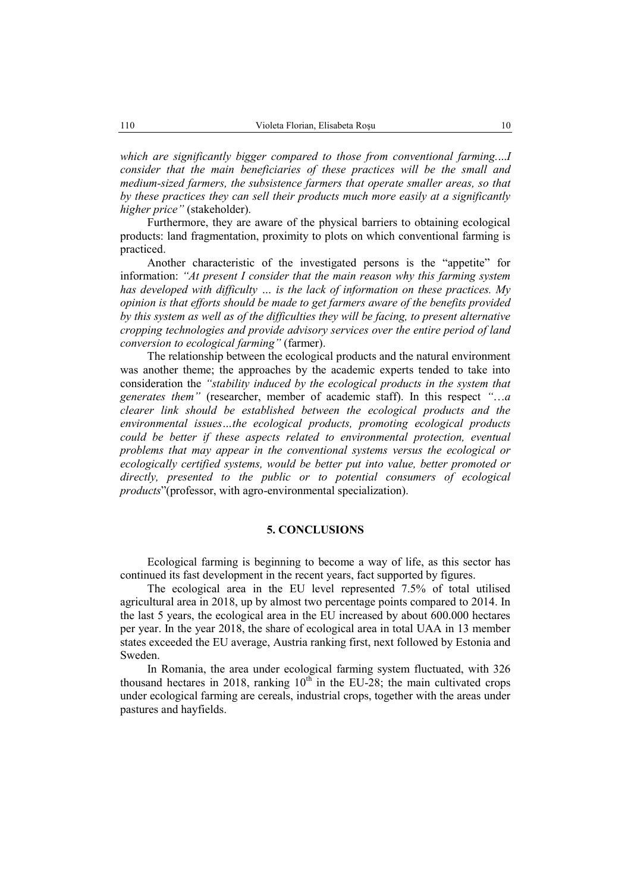*which are significantly bigger compared to those from conventional farming.*...*I consider that the main beneficiaries of these practices will be the small and medium-sized farmers, the subsistence farmers that operate smaller areas, so that by these practices they can sell their products much more easily at a significantly higher price"* (stakeholder).

Furthermore, they are aware of the physical barriers to obtaining ecological products: land fragmentation, proximity to plots on which conventional farming is practiced.

Another characteristic of the investigated persons is the "appetite" for information: *"At present I consider that the main reason why this farming system has developed with difficulty … is the lack of information on these practices. My opinion is that efforts should be made to get farmers aware of the benefits provided by this system as well as of the difficulties they will be facing, to present alternative cropping technologies and provide advisory services over the entire period of land conversion to ecological farming"* (farmer).

The relationship between the ecological products and the natural environment was another theme; the approaches by the academic experts tended to take into consideration the *"stability induced by the ecological products in the system that generates them"* (researcher, member of academic staff). In this respect *"*…*a clearer link should be established between the ecological products and the environmental issues…the ecological products, promoting ecological products could be better if these aspects related to environmental protection, eventual problems that may appear in the conventional systems versus the ecological or ecologically certified systems, would be better put into value, better promoted or directly, presented to the public or to potential consumers of ecological products*"(professor, with agro-environmental specialization).

### **5. CONCLUSIONS**

Ecological farming is beginning to become a way of life, as this sector has continued its fast development in the recent years, fact supported by figures.

The ecological area in the EU level represented 7.5% of total utilised agricultural area in 2018, up by almost two percentage points compared to 2014. In the last 5 years, the ecological area in the EU increased by about 600.000 hectares per year. In the year 2018, the share of ecological area in total UAA in 13 member states exceeded the EU average, Austria ranking first, next followed by Estonia and Sweden.

In Romania, the area under ecological farming system fluctuated, with 326 thousand hectares in 2018, ranking  $10<sup>th</sup>$  in the EU-28; the main cultivated crops under ecological farming are cereals, industrial crops, together with the areas under pastures and hayfields.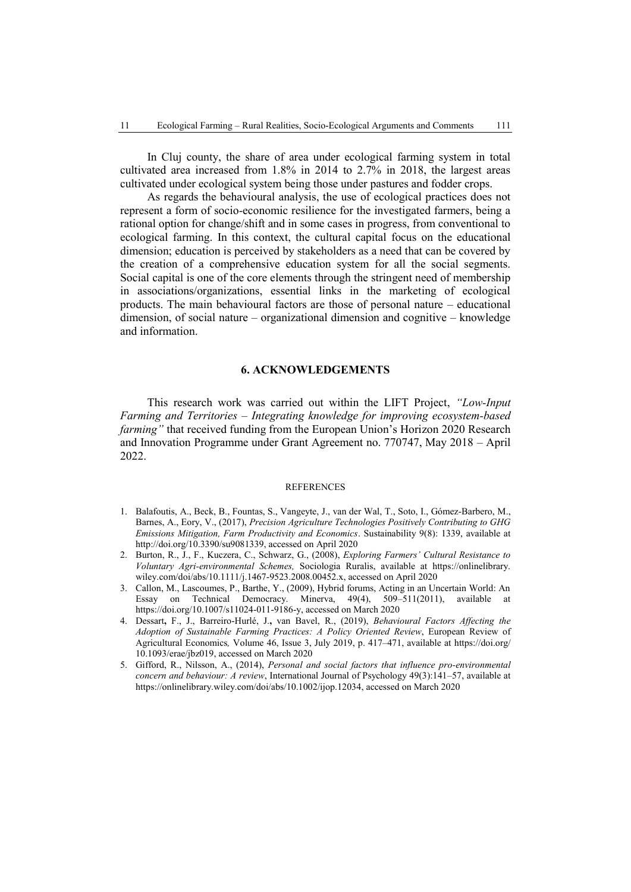In Cluj county, the share of area under ecological farming system in total cultivated area increased from 1.8% in 2014 to 2.7% in 2018, the largest areas cultivated under ecological system being those under pastures and fodder crops.

As regards the behavioural analysis, the use of ecological practices does not represent a form of socio-economic resilience for the investigated farmers, being a rational option for change/shift and in some cases in progress, from conventional to ecological farming. In this context, the cultural capital focus on the educational dimension; education is perceived by stakeholders as a need that can be covered by the creation of a comprehensive education system for all the social segments. Social capital is one of the core elements through the stringent need of membership in associations/organizations, essential links in the marketing of ecological products. The main behavioural factors are those of personal nature – educational dimension, of social nature – organizational dimension and cognitive – knowledge and information.

### **6. ACKNOWLEDGEMENTS**

This research work was carried out within the LIFT Project, *"Low-Input Farming and Territories – Integrating knowledge for improving ecosystem-based farming"* that received funding from the European Union's Horizon 2020 Research and Innovation Programme under Grant Agreement no. 770747, May 2018 – April 2022.

#### REFERENCES

- 1. Balafoutis, A., Beck, B., Fountas, S., Vangeyte, J., van der Wal, T., Soto, I., Gómez-Barbero, M., Barnes, A., Eory, V., (2017), *Precision Agriculture Technologies Positively Contributing to GHG Emissions Mitigation, Farm Productivity and Economics*. Sustainability 9(8): 1339, available at [http://doi.org/10.3390/su9081339,](http://doi.org/10.3390/su9081339) accessed on April 2020
- 2. [Burton,](https://onlinelibrary.wiley.com/action/doSearch?ContribAuthorStored=Burton%2C+Rob+JF) R., J., F., [Kuczera,](https://onlinelibrary.wiley.com/action/doSearch?ContribAuthorStored=Kuczera%2C+Carmen) C., [Schwarz,](https://onlinelibrary.wiley.com/action/doSearch?ContribAuthorStored=Schwarz%2C+Gerald) G., (2008), *Exploring Farmers' Cultural Resistance to Voluntary Agri-environmental Schemes,* Sociologia Ruralis, available at [https://onlinelibrary.](https://onlinelibrary.wiley.com/doi/abs/10.1111/j.1467-9523.2008.00452.x)  [wiley.com/doi/abs/10.1111/j.1467-9523.2008.00452.x,](https://onlinelibrary.wiley.com/doi/abs/10.1111/j.1467-9523.2008.00452.x) accessed on April 2020
- 3. Callon, M., Lascoumes, P., Barthe, Y., (2009), Hybrid forums, Acting in an Uncertain World: An Essay on Technical Democracy. Minerva, 49(4), 509–511(2011), available at [https://doi.org/10.1007/s11024-011-9186-y,](https://doi.org/10.1007/s11024-011-9186-y) accessed on March 2020
- 4. [Dessart](javascript:;)**,** F., J., [Barreiro-](javascript:;)Hurlé, J.**,** van [Bavel,](javascript:;) R., (2019), *Behavioural Factors Affecting the Adoption of Sustainable Farming Practices: A Policy Oriented Review*, European Review of Agricultural Economics*,* Volume 46, Issue 3, July 2019, p. 417–471, available at [https://doi.org/](https://doi.org/10.1093/erae/jbz019) [10.1093/erae/jbz019,](https://doi.org/10.1093/erae/jbz019) accessed on March 2020
- 5. Gifford, R., Nilsson, A., (2014), *Personal and social factors that influence pro-environmental concern and behaviour: A review*, International Journal of Psychology 49(3):141–57, available at [https://onlinelibrary.wiley.com/doi/abs/10.1002/ijop.12034,](https://onlinelibrary.wiley.com/doi/abs/10.1002/ijop.12034) accessed on March 2020